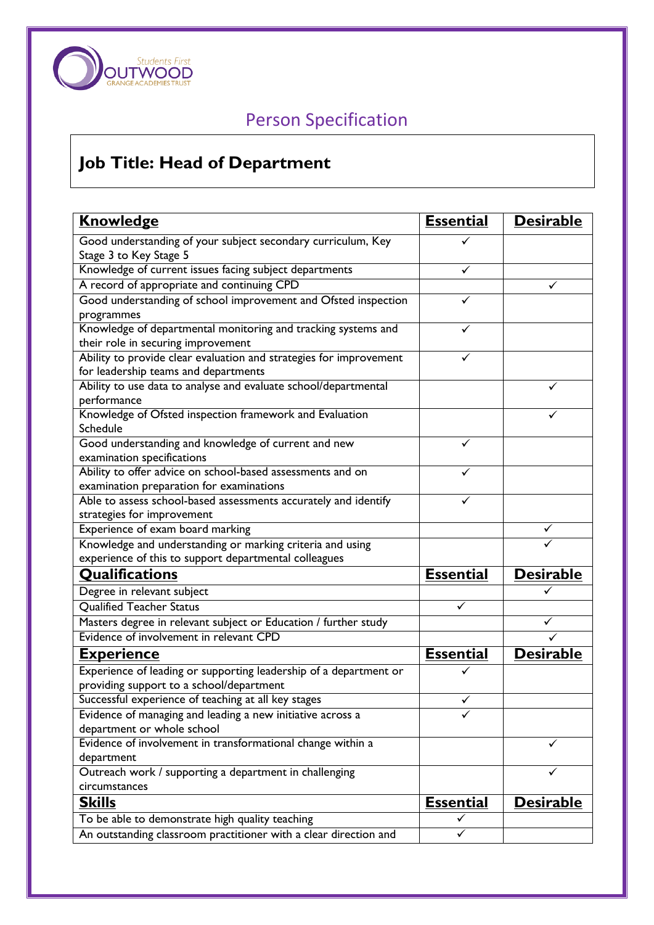

## Person Specification

## **Job Title: Head of Department**

| <b>Knowledge</b>                                                                                           | <b>Essential</b> | <b>Desirable</b> |
|------------------------------------------------------------------------------------------------------------|------------------|------------------|
| Good understanding of your subject secondary curriculum, Key<br>Stage 3 to Key Stage 5                     |                  |                  |
| Knowledge of current issues facing subject departments                                                     | ✓                |                  |
| A record of appropriate and continuing CPD                                                                 |                  |                  |
| Good understanding of school improvement and Ofsted inspection                                             | ✓                |                  |
| programmes                                                                                                 |                  |                  |
| Knowledge of departmental monitoring and tracking systems and                                              |                  |                  |
| their role in securing improvement                                                                         |                  |                  |
| Ability to provide clear evaluation and strategies for improvement<br>for leadership teams and departments |                  |                  |
| Ability to use data to analyse and evaluate school/departmental                                            |                  |                  |
| performance                                                                                                |                  |                  |
| Knowledge of Ofsted inspection framework and Evaluation                                                    |                  |                  |
| Schedule                                                                                                   |                  |                  |
| Good understanding and knowledge of current and new                                                        | ✓                |                  |
| examination specifications                                                                                 |                  |                  |
| Ability to offer advice on school-based assessments and on                                                 |                  |                  |
| examination preparation for examinations                                                                   |                  |                  |
| Able to assess school-based assessments accurately and identify                                            | ✓                |                  |
| strategies for improvement                                                                                 |                  |                  |
| Experience of exam board marking                                                                           |                  |                  |
| Knowledge and understanding or marking criteria and using                                                  |                  |                  |
| experience of this to support departmental colleagues                                                      |                  |                  |
| <b>Qualifications</b>                                                                                      | <b>Essential</b> | <b>Desirable</b> |
| Degree in relevant subject                                                                                 |                  |                  |
| <b>Qualified Teacher Status</b>                                                                            | ✓                |                  |
| Masters degree in relevant subject or Education / further study                                            |                  |                  |
| Evidence of involvement in relevant CPD                                                                    |                  |                  |
| <u>Experience</u>                                                                                          | <b>Essential</b> | <b>Desirable</b> |
| Experience of leading or supporting leadership of a department or                                          |                  |                  |
| providing support to a school/department                                                                   |                  |                  |
| Successful experience of teaching at all key stages                                                        |                  |                  |
| Evidence of managing and leading a new initiative across a                                                 |                  |                  |
| department or whole school                                                                                 |                  |                  |
| Evidence of involvement in transformational change within a                                                |                  |                  |
| department                                                                                                 |                  |                  |
| Outreach work / supporting a department in challenging                                                     |                  | ✓                |
| circumstances                                                                                              |                  |                  |
| <b>Skills</b>                                                                                              | <b>Essential</b> | <b>Desirable</b> |
| To be able to demonstrate high quality teaching                                                            |                  |                  |
| An outstanding classroom practitioner with a clear direction and                                           | ✓                |                  |